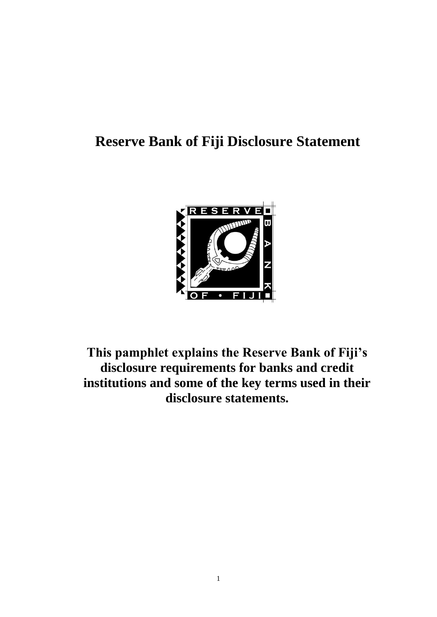# **Reserve Bank of Fiji Disclosure Statement**



**This pamphlet explains the Reserve Bank of Fiji's disclosure requirements for banks and credit institutions and some of the key terms used in their disclosure statements.**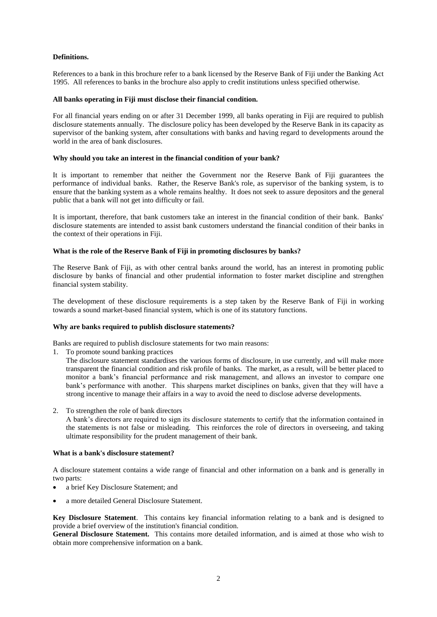# **Definitions.**

References to a bank in this brochure refer to a bank licensed by the Reserve Bank of Fiji under the Banking Act 1995. All references to banks in the brochure also apply to credit institutions unless specified otherwise.

## **All banks operating in Fiji must disclose their financial condition.**

For all financial years ending on or after 31 December 1999, all banks operating in Fiji are required to publish disclosure statements annually. The disclosure policy has been developed by the Reserve Bank in its capacity as supervisor of the banking system, after consultations with banks and having regard to developments around the world in the area of bank disclosures.

## **Why should you take an interest in the financial condition of your bank?**

It is important to remember that neither the Government nor the Reserve Bank of Fiji guarantees the performance of individual banks. Rather, the Reserve Bank's role, as supervisor of the banking system, is to ensure that the banking system as a whole remains healthy. It does not seek to assure depositors and the general public that a bank will not get into difficulty or fail.

It is important, therefore, that bank customers take an interest in the financial condition of their bank. Banks' disclosure statements are intended to assist bank customers understand the financial condition of their banks in the context of their operations in Fiji.

## **What is the role of the Reserve Bank of Fiji in promoting disclosures by banks?**

The Reserve Bank of Fiji, as with other central banks around the world, has an interest in promoting public disclosure by banks of financial and other prudential information to foster market discipline and strengthen financial system stability.

The development of these disclosure requirements is a step taken by the Reserve Bank of Fiji in working towards a sound market-based financial system, which is one of its statutory functions.

#### **Why are banks required to publish disclosure statements?**

Banks are required to publish disclosure statements for two main reasons:

1. To promote sound banking practices

The disclosure statement standardises the various forms of disclosure, in use currently, and will make more transparent the financial condition and risk profile of banks. The market, as a result, will be better placed to monitor a bank's financial performance and risk management, and allows an investor to compare one bank's performance with another. This sharpens market disciplines on banks, given that they will have a strong incentive to manage their affairs in a way to avoid the need to disclose adverse developments.

2. To strengthen the role of bank directors

A bank's directors are required to sign its disclosure statements to certify that the information contained in the statements is not false or misleading. This reinforces the role of directors in overseeing, and taking ultimate responsibility for the prudent management of their bank.

## **What is a bank's disclosure statement?**

A disclosure statement contains a wide range of financial and other information on a bank and is generally in two parts:

- a brief Key Disclosure Statement; and
- a more detailed General Disclosure Statement.

**Key Disclosure Statement**. This contains key financial information relating to a bank and is designed to provide a brief overview of the institution's financial condition.

**General Disclosure Statement.** This contains more detailed information, and is aimed at those who wish to obtain more comprehensive information on a bank.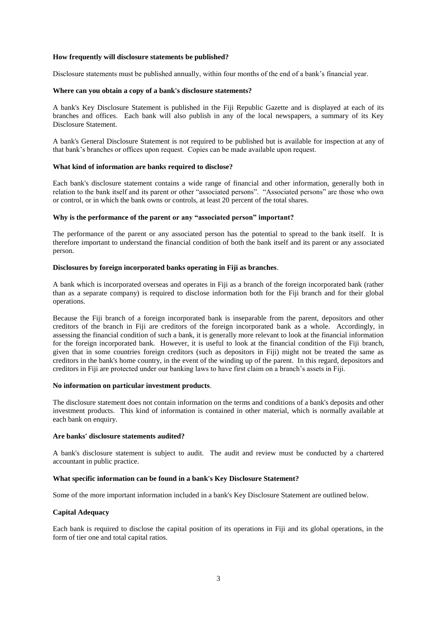## **How frequently will disclosure statements be published?**

Disclosure statements must be published annually, within four months of the end of a bank's financial year.

## **Where can you obtain a copy of a bank's disclosure statements?**

A bank's Key Disclosure Statement is published in the Fiji Republic Gazette and is displayed at each of its branches and offices. Each bank will also publish in any of the local newspapers, a summary of its Key Disclosure Statement.

A bank's General Disclosure Statement is not required to be published but is available for inspection at any of that bank's branches or offices upon request. Copies can be made available upon request.

## **What kind of information are banks required to disclose?**

Each bank's disclosure statement contains a wide range of financial and other information, generally both in relation to the bank itself and its parent or other "associated persons". "Associated persons" are those who own or control, or in which the bank owns or controls, at least 20 percent of the total shares.

## **Why is the performance of the parent or any "associated person" important?**

The performance of the parent or any associated person has the potential to spread to the bank itself. It is therefore important to understand the financial condition of both the bank itself and its parent or any associated person.

## **Disclosures by foreign incorporated banks operating in Fiji as branches**.

A bank which is incorporated overseas and operates in Fiji as a branch of the foreign incorporated bank (rather than as a separate company) is required to disclose information both for the Fiji branch and for their global operations.

Because the Fiji branch of a foreign incorporated bank is inseparable from the parent, depositors and other creditors of the branch in Fiji are creditors of the foreign incorporated bank as a whole. Accordingly, in assessing the financial condition of such a bank, it is generally more relevant to look at the financial information for the foreign incorporated bank. However, it is useful to look at the financial condition of the Fiji branch, given that in some countries foreign creditors (such as depositors in Fiji) might not be treated the same as creditors in the bank's home country, in the event of the winding up of the parent. In this regard, depositors and creditors in Fiji are protected under our banking laws to have first claim on a branch's assets in Fiji.

#### **No information on particular investment products**.

The disclosure statement does not contain information on the terms and conditions of a bank's deposits and other investment products. This kind of information is contained in other material, which is normally available at each bank on enquiry.

## **Are banks' disclosure statements audited?**

A bank's disclosure statement is subject to audit. The audit and review must be conducted by a chartered accountant in public practice.

## **What specific information can be found in a bank's Key Disclosure Statement?**

Some of the more important information included in a bank's Key Disclosure Statement are outlined below.

# **Capital Adequacy**

Each bank is required to disclose the capital position of its operations in Fiji and its global operations, in the form of tier one and total capital ratios.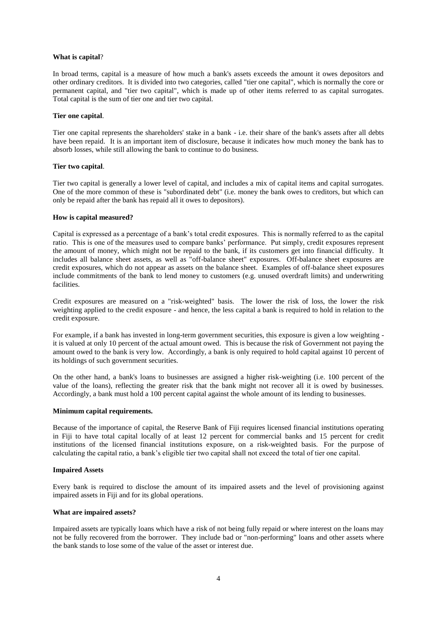## **What is capital**?

In broad terms, capital is a measure of how much a bank's assets exceeds the amount it owes depositors and other ordinary creditors. It is divided into two categories, called "tier one capital", which is normally the core or permanent capital, and "tier two capital", which is made up of other items referred to as capital surrogates. Total capital is the sum of tier one and tier two capital.

## **Tier one capital**.

Tier one capital represents the shareholders' stake in a bank - i.e. their share of the bank's assets after all debts have been repaid. It is an important item of disclosure, because it indicates how much money the bank has to absorb losses, while still allowing the bank to continue to do business.

## **Tier two capital**.

Tier two capital is generally a lower level of capital, and includes a mix of capital items and capital surrogates. One of the more common of these is "subordinated debt" (i.e. money the bank owes to creditors, but which can only be repaid after the bank has repaid all it owes to depositors).

## **How is capital measured?**

Capital is expressed as a percentage of a bank's total credit exposures. This is normally referred to as the capital ratio. This is one of the measures used to compare banks' performance. Put simply, credit exposures represent the amount of money, which might not be repaid to the bank, if its customers get into financial difficulty. It includes all balance sheet assets, as well as "off-balance sheet" exposures. Off-balance sheet exposures are credit exposures, which do not appear as assets on the balance sheet. Examples of off-balance sheet exposures include commitments of the bank to lend money to customers (e.g. unused overdraft limits) and underwriting facilities.

Credit exposures are measured on a "risk-weighted" basis. The lower the risk of loss, the lower the risk weighting applied to the credit exposure - and hence, the less capital a bank is required to hold in relation to the credit exposure.

For example, if a bank has invested in long-term government securities, this exposure is given a low weighting it is valued at only 10 percent of the actual amount owed. This is because the risk of Government not paying the amount owed to the bank is very low. Accordingly, a bank is only required to hold capital against 10 percent of its holdings of such government securities.

On the other hand, a bank's loans to businesses are assigned a higher risk-weighting (i.e. 100 percent of the value of the loans), reflecting the greater risk that the bank might not recover all it is owed by businesses. Accordingly, a bank must hold a 100 percent capital against the whole amount of its lending to businesses.

#### **Minimum capital requirements.**

Because of the importance of capital, the Reserve Bank of Fiji requires licensed financial institutions operating in Fiji to have total capital locally of at least 12 percent for commercial banks and 15 percent for credit institutions of the licensed financial institutions exposure, on a risk-weighted basis. For the purpose of calculating the capital ratio, a bank's eligible tier two capital shall not exceed the total of tier one capital.

#### **Impaired Assets**

Every bank is required to disclose the amount of its impaired assets and the level of provisioning against impaired assets in Fiji and for its global operations.

# **What are impaired assets?**

Impaired assets are typically loans which have a risk of not being fully repaid or where interest on the loans may not be fully recovered from the borrower. They include bad or "non-performing" loans and other assets where the bank stands to lose some of the value of the asset or interest due.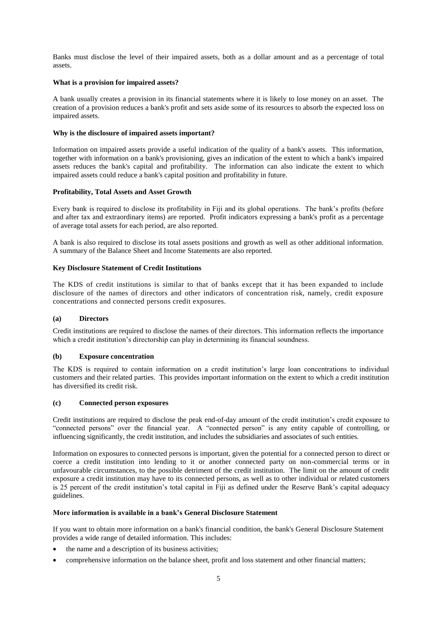Banks must disclose the level of their impaired assets, both as a dollar amount and as a percentage of total assets.

#### **What is a provision for impaired assets?**

A bank usually creates a provision in its financial statements where it is likely to lose money on an asset. The creation of a provision reduces a bank's profit and sets aside some of its resources to absorb the expected loss on impaired assets.

## **Why is the disclosure of impaired assets important?**

Information on impaired assets provide a useful indication of the quality of a bank's assets. This information, together with information on a bank's provisioning, gives an indication of the extent to which a bank's impaired assets reduces the bank's capital and profitability. The information can also indicate the extent to which impaired assets could reduce a bank's capital position and profitability in future.

## **Profitability, Total Assets and Asset Growth**

Every bank is required to disclose its profitability in Fiji and its global operations. The bank's profits (before and after tax and extraordinary items) are reported. Profit indicators expressing a bank's profit as a percentage of average total assets for each period, are also reported.

A bank is also required to disclose its total assets positions and growth as well as other additional information. A summary of the Balance Sheet and Income Statements are also reported.

## **Key Disclosure Statement of Credit Institutions**

The KDS of credit institutions is similar to that of banks except that it has been expanded to include disclosure of the names of directors and other indicators of concentration risk, namely, credit exposure concentrations and connected persons credit exposures.

#### **(a) Directors**

Credit institutions are required to disclose the names of their directors. This information reflects the importance which a credit institution's directorship can play in determining its financial soundness.

## **(b) Exposure concentration**

The KDS is required to contain information on a credit institution's large loan concentrations to individual customers and their related parties. This provides important information on the extent to which a credit institution has diversified its credit risk.

#### **(c) Connected person exposures**

Credit institutions are required to disclose the peak end-of-day amount of the credit institution's credit exposure to "connected persons" over the financial year. A "connected person" is any entity capable of controlling, or influencing significantly, the credit institution, and includes the subsidiaries and associates of such entities.

Information on exposures to connected persons is important, given the potential for a connected person to direct or coerce a credit institution into lending to it or another connected party on non-commercial terms or in unfavourable circumstances, to the possible detriment of the credit institution. The limit on the amount of credit exposure a credit institution may have to its connected persons, as well as to other individual or related customers is 25 percent of the credit institution's total capital in Fiji as defined under the Reserve Bank's capital adequacy guidelines.

## **More information is available in a bank's General Disclosure Statement**

If you want to obtain more information on a bank's financial condition, the bank's General Disclosure Statement provides a wide range of detailed information. This includes:

- the name and a description of its business activities;
- comprehensive information on the balance sheet, profit and loss statement and other financial matters;